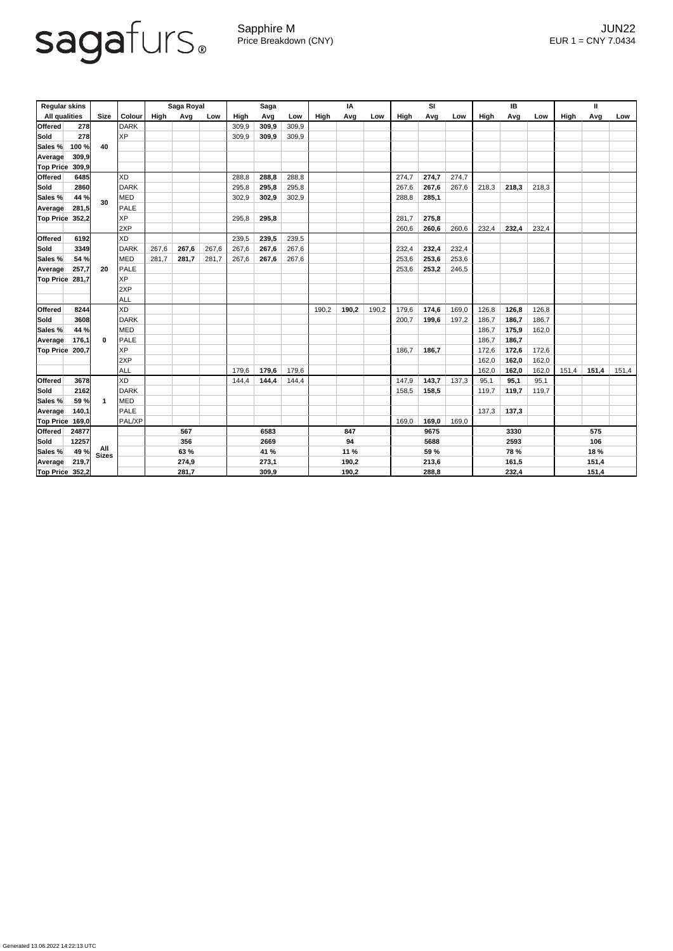## sagafurs.

Generated 13.06.2022 14:22:13 UTC

Sapphire M JUN22 Price Breakdown (CNY) EUR 1 = CNY 7.0434

| <b>Regular skins</b>   |            |                     |               | Saga Royal  |       |       | <b>Saga</b> |       |       | IA    |       |       | SI          |       |       | <b>IB</b>   |       |       | $\mathbf{I}$ |       |       |  |
|------------------------|------------|---------------------|---------------|-------------|-------|-------|-------------|-------|-------|-------|-------|-------|-------------|-------|-------|-------------|-------|-------|--------------|-------|-------|--|
| <b>All qualities</b>   |            | <b>Size</b>         | <b>Colour</b> | <b>High</b> | Avg   | Low   | High        | Avg   | Low   | High  | Avg   | Low   | <b>High</b> | Avg   | Low   | <b>High</b> | Avg   | Low   | <b>High</b>  | Avg   | Low   |  |
| <b>Offered</b>         | <b>278</b> |                     | <b>DARK</b>   |             |       |       | 309,9       | 309,9 | 309,9 |       |       |       |             |       |       |             |       |       |              |       |       |  |
| Sold                   | 278        | 40                  | <b>XP</b>     |             |       |       | 309,9       | 309,9 | 309,9 |       |       |       |             |       |       |             |       |       |              |       |       |  |
| Sales %                | 100 %      |                     |               |             |       |       |             |       |       |       |       |       |             |       |       |             |       |       |              |       |       |  |
| Average                | 309,9      |                     |               |             |       |       |             |       |       |       |       |       |             |       |       |             |       |       |              |       |       |  |
| <b>Top Price</b>       | 309,9      |                     |               |             |       |       |             |       |       |       |       |       |             |       |       |             |       |       |              |       |       |  |
| <b>Offered</b>         | 6485       |                     | <b>XD</b>     |             |       |       | 288,8       | 288,8 | 288,8 |       |       |       | 274,7       | 274,7 | 274,7 |             |       |       |              |       |       |  |
| Sold                   | 2860       | 30                  | <b>DARK</b>   |             |       |       | 295,8       | 295,8 | 295,8 |       |       |       | 267,6       | 267,6 | 267,6 | 218,3       | 218,3 | 218,3 |              |       |       |  |
| Sales %                | 44 %       |                     | <b>MED</b>    |             |       |       | 302,9       | 302,9 | 302,9 |       |       |       | 288,8       | 285,1 |       |             |       |       |              |       |       |  |
| Average                | 281,5      |                     | <b>PALE</b>   |             |       |       |             |       |       |       |       |       |             |       |       |             |       |       |              |       |       |  |
| Top Price              | 352,2      |                     | <b>XP</b>     |             |       |       | 295,8       | 295,8 |       |       |       |       | 281,7       | 275,8 |       |             |       |       |              |       |       |  |
|                        |            |                     | 2XP           |             |       |       |             |       |       |       |       |       | 260,6       | 260,6 | 260,6 | 232,4       | 232,4 | 232,4 |              |       |       |  |
| <b>Offered</b>         | 6192       |                     | <b>XD</b>     |             |       |       | 239,5       | 239,5 | 239,5 |       |       |       |             |       |       |             |       |       |              |       |       |  |
| Sold                   | 3349       | 20                  | <b>DARK</b>   | 267,6       | 267,6 | 267,6 | 267,6       | 267,6 | 267,6 |       |       |       | 232,4       | 232,4 | 232,4 |             |       |       |              |       |       |  |
| Sales %                | 54 %       |                     | <b>MED</b>    | 281,7       | 281,7 | 281,7 | 267,6       | 267,6 | 267,6 |       |       |       | 253,6       | 253,6 | 253,6 |             |       |       |              |       |       |  |
| Average                | 257,7      |                     | <b>PALE</b>   |             |       |       |             |       |       |       |       |       | 253,6       | 253,2 | 246,5 |             |       |       |              |       |       |  |
| <b>Top Price</b>       | 281,7      |                     | <b>XP</b>     |             |       |       |             |       |       |       |       |       |             |       |       |             |       |       |              |       |       |  |
|                        |            |                     | 2XP           |             |       |       |             |       |       |       |       |       |             |       |       |             |       |       |              |       |       |  |
|                        |            |                     | <b>ALL</b>    |             |       |       |             |       |       |       |       |       |             |       |       |             |       |       |              |       |       |  |
| <b>Offered</b>         | 8244       | $\bf{0}$            | <b>XD</b>     |             |       |       |             |       |       | 190,2 | 190,2 | 190,2 | 179,6       | 174,6 | 169,0 | 126,8       | 126,8 | 126,8 |              |       |       |  |
| Sold                   | 3608       |                     | <b>DARK</b>   |             |       |       |             |       |       |       |       |       | 200,7       | 199,6 | 197,2 | 186,7       | 186,7 | 186,7 |              |       |       |  |
| Sales %                | 44 %       |                     | <b>MED</b>    |             |       |       |             |       |       |       |       |       |             |       |       | 186,7       | 175,9 | 162,0 |              |       |       |  |
| Average                | 176,1      |                     | <b>PALE</b>   |             |       |       |             |       |       |       |       |       |             |       |       | 186,7       | 186,7 |       |              |       |       |  |
| <b>Top Price</b>       | 200,7      |                     | <b>XP</b>     |             |       |       |             |       |       |       |       |       | 186,7       | 186,7 |       | 172,6       | 172,6 | 172,6 |              |       |       |  |
|                        |            |                     | 2XP           |             |       |       |             |       |       |       |       |       |             |       |       | 162,0       | 162,0 | 162,0 |              |       |       |  |
|                        |            |                     | <b>ALL</b>    |             |       |       | 179,6       | 179,6 | 179,6 |       |       |       |             |       |       | 162,0       | 162,0 | 162,0 | 151,4        | 151,4 | 151,4 |  |
| <b>Offered</b>         | 3678       |                     | <b>XD</b>     |             |       |       | 144,4       | 144,4 | 144,4 |       |       |       | 147,9       | 143,7 | 137,3 | 95,1        | 95,1  | 95,1  |              |       |       |  |
| <b>Sold</b>            | 2162       | $\mathbf{1}$        | <b>DARK</b>   |             |       |       |             |       |       |       |       |       | 158,5       | 158,5 |       | 119,7       | 119,7 | 119,7 |              |       |       |  |
| <b>Sales %</b>         | 59 %       |                     | <b>MED</b>    |             |       |       |             |       |       |       |       |       |             |       |       |             |       |       |              |       |       |  |
| Average                | 140,1      |                     | <b>PALE</b>   |             |       |       |             |       |       |       |       |       |             |       |       | 137,3       | 137,3 |       |              |       |       |  |
| <b>Top Price</b>       | 169,0      |                     | PAL/XP        |             |       |       |             |       |       |       |       |       | 169,0       | 169,0 | 169,0 |             |       |       |              |       |       |  |
| Offered                | 24877      |                     |               | 567         |       | 6583  |             |       | 847   |       |       | 9675  |             |       | 3330  |             |       | 575   |              |       |       |  |
| Sold                   | 12257      |                     |               |             | 356   |       |             | 2669  |       |       | 94    |       |             | 5688  |       |             | 2593  |       |              | 106   |       |  |
| Sales %                | 49 %       | All<br><b>Sizes</b> |               | 63 %        |       |       | 41 %        |       |       | 11%   |       |       | 59 %        |       |       | <b>78 %</b> |       |       | 18 %         |       |       |  |
| <b>Average</b>         | 219,7      |                     |               |             | 274,9 |       | 273,1       |       |       | 190,2 |       |       | 213,6       |       |       | 161,5       |       |       | 151,4        |       |       |  |
| <b>Top Price 352,2</b> |            |                     |               | 281,7       |       |       | 309,9       |       |       | 190,2 |       |       | 288,8       |       |       | 232,4       |       |       | 151,4        |       |       |  |